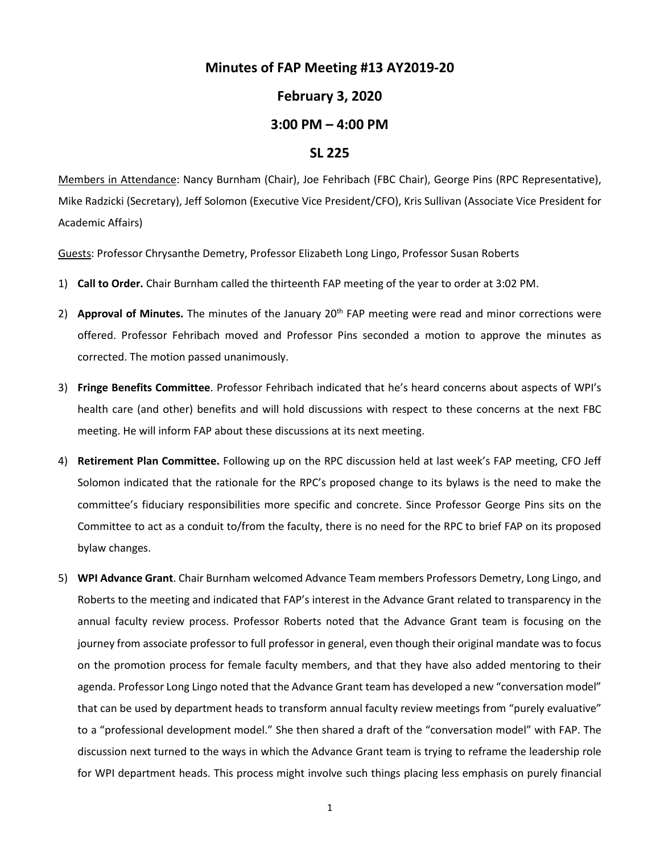## **Minutes of FAP Meeting #13 AY2019-20**

## **February 3, 2020**

## **3:00 PM – 4:00 PM**

## **SL 225**

Members in Attendance: Nancy Burnham (Chair), Joe Fehribach (FBC Chair), George Pins (RPC Representative), Mike Radzicki (Secretary), Jeff Solomon (Executive Vice President/CFO), Kris Sullivan (Associate Vice President for Academic Affairs)

Guests: Professor Chrysanthe Demetry, Professor Elizabeth Long Lingo, Professor Susan Roberts

- 1) **Call to Order.** Chair Burnham called the thirteenth FAP meeting of the year to order at 3:02 PM.
- 2) **Approval of Minutes.** The minutes of the January 20<sup>th</sup> FAP meeting were read and minor corrections were offered. Professor Fehribach moved and Professor Pins seconded a motion to approve the minutes as corrected. The motion passed unanimously.
- 3) **Fringe Benefits Committee**. Professor Fehribach indicated that he's heard concerns about aspects of WPI's health care (and other) benefits and will hold discussions with respect to these concerns at the next FBC meeting. He will inform FAP about these discussions at its next meeting.
- 4) **Retirement Plan Committee.** Following up on the RPC discussion held at last week's FAP meeting, CFO Jeff Solomon indicated that the rationale for the RPC's proposed change to its bylaws is the need to make the committee's fiduciary responsibilities more specific and concrete. Since Professor George Pins sits on the Committee to act as a conduit to/from the faculty, there is no need for the RPC to brief FAP on its proposed bylaw changes.
- 5) **WPI Advance Grant**. Chair Burnham welcomed Advance Team members Professors Demetry, Long Lingo, and Roberts to the meeting and indicated that FAP's interest in the Advance Grant related to transparency in the annual faculty review process. Professor Roberts noted that the Advance Grant team is focusing on the journey from associate professor to full professor in general, even though their original mandate was to focus on the promotion process for female faculty members, and that they have also added mentoring to their agenda. Professor Long Lingo noted that the Advance Grant team has developed a new "conversation model" that can be used by department heads to transform annual faculty review meetings from "purely evaluative" to a "professional development model." She then shared a draft of the "conversation model" with FAP. The discussion next turned to the ways in which the Advance Grant team is trying to reframe the leadership role for WPI department heads. This process might involve such things placing less emphasis on purely financial